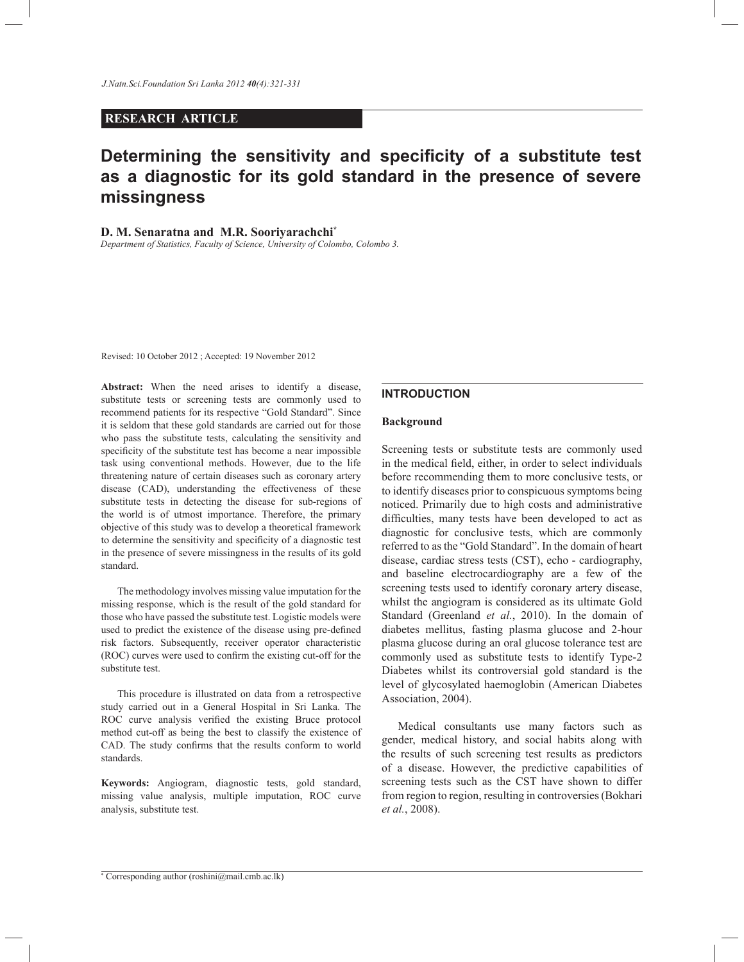# **RESEARCH ARTICLE**

# **Determining the sensitivity and specificity of a substitute test as a diagnostic for its gold standard in the presence of severe missingness**

## **D. M. Senaratna and M.R. Sooriyarachchi\***

*Department of Statistics, Faculty of Science, University of Colombo, Colombo 3.*

Revised: 10 October 2012 ; Accepted: 19 November 2012

**Abstract:** When the need arises to identify a disease, substitute tests or screening tests are commonly used to recommend patients for its respective "Gold Standard". Since it is seldom that these gold standards are carried out for those who pass the substitute tests, calculating the sensitivity and specificity of the substitute test has become a near impossible task using conventional methods. However, due to the life threatening nature of certain diseases such as coronary artery disease (CAD), understanding the effectiveness of these substitute tests in detecting the disease for sub-regions of the world is of utmost importance. Therefore, the primary objective of this study was to develop a theoretical framework to determine the sensitivity and specificity of a diagnostic test in the presence of severe missingness in the results of its gold standard.

 The methodology involves missing value imputation for the missing response, which is the result of the gold standard for those who have passed the substitute test. Logistic models were used to predict the existence of the disease using pre-defined risk factors. Subsequently, receiver operator characteristic (ROC) curves were used to confirm the existing cut-off for the substitute test.

 This procedure is illustrated on data from a retrospective study carried out in a General Hospital in Sri Lanka. The ROC curve analysis verified the existing Bruce protocol method cut-off as being the best to classify the existence of CAD. The study confirms that the results conform to world standards.

**Keywords:** Angiogram, diagnostic tests, gold standard, missing value analysis, multiple imputation, ROC curve analysis, substitute test.

## **INTRODUCTION**

#### **Background**

Screening tests or substitute tests are commonly used in the medical field, either, in order to select individuals before recommending them to more conclusive tests, or to identify diseases prior to conspicuous symptoms being noticed. Primarily due to high costs and administrative difficulties, many tests have been developed to act as diagnostic for conclusive tests, which are commonly referred to as the "Gold Standard". In the domain of heart disease, cardiac stress tests (CST), echo - cardiography, and baseline electrocardiography are a few of the screening tests used to identify coronary artery disease, whilst the angiogram is considered as its ultimate Gold Standard (Greenland *et al.*, 2010). In the domain of diabetes mellitus, fasting plasma glucose and 2-hour plasma glucose during an oral glucose tolerance test are commonly used as substitute tests to identify Type-2 Diabetes whilst its controversial gold standard is the level of glycosylated haemoglobin (American Diabetes Association, 2004).

 Medical consultants use many factors such as gender, medical history, and social habits along with the results of such screening test results as predictors of a disease. However, the predictive capabilities of screening tests such as the CST have shown to differ from region to region, resulting in controversies (Bokhari *et al.*, 2008).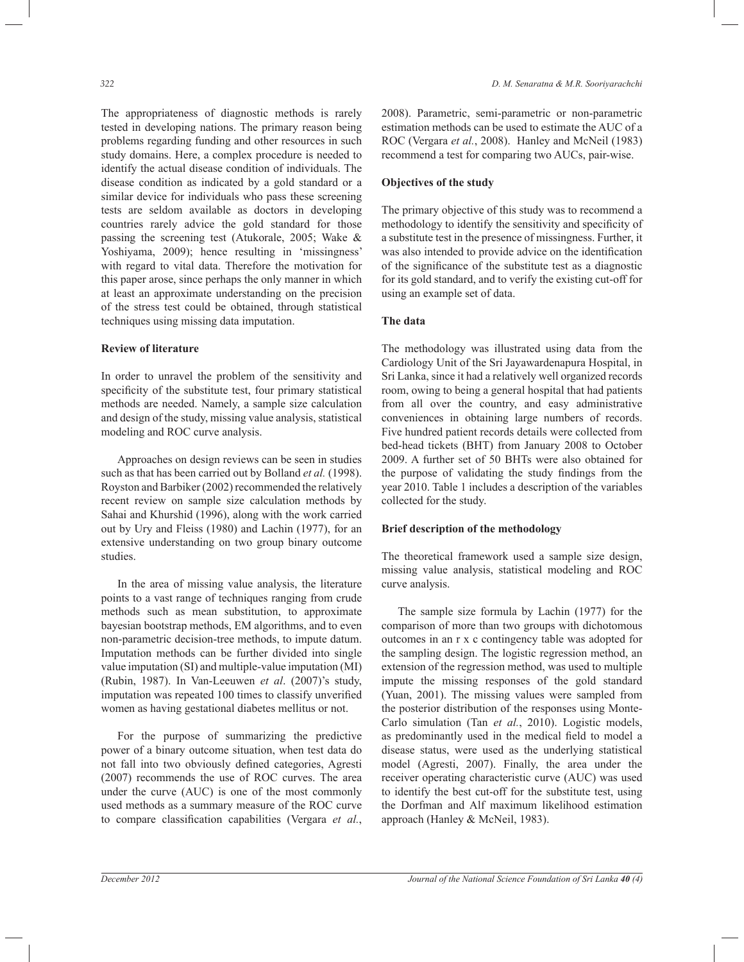The appropriateness of diagnostic methods is rarely tested in developing nations. The primary reason being problems regarding funding and other resources in such study domains. Here, a complex procedure is needed to identify the actual disease condition of individuals. The disease condition as indicated by a gold standard or a similar device for individuals who pass these screening tests are seldom available as doctors in developing countries rarely advice the gold standard for those passing the screening test (Atukorale, 2005; Wake & Yoshiyama, 2009); hence resulting in 'missingness' with regard to vital data. Therefore the motivation for this paper arose, since perhaps the only manner in which at least an approximate understanding on the precision of the stress test could be obtained, through statistical techniques using missing data imputation.

## **Review of literature**

In order to unravel the problem of the sensitivity and specificity of the substitute test, four primary statistical methods are needed. Namely, a sample size calculation and design of the study, missing value analysis, statistical modeling and ROC curve analysis.

 Approaches on design reviews can be seen in studies such as that has been carried out by Bolland *et al.* (1998). Royston and Barbiker (2002) recommended the relatively recent review on sample size calculation methods by Sahai and Khurshid (1996), along with the work carried out by Ury and Fleiss (1980) and Lachin (1977), for an extensive understanding on two group binary outcome studies.

 In the area of missing value analysis, the literature points to a vast range of techniques ranging from crude methods such as mean substitution, to approximate bayesian bootstrap methods, EM algorithms, and to even non-parametric decision-tree methods, to impute datum. Imputation methods can be further divided into single value imputation (SI) and multiple-value imputation (MI) (Rubin, 1987). In Van-Leeuwen *et al*. (2007)'s study, imputation was repeated 100 times to classify unverified women as having gestational diabetes mellitus or not.

 For the purpose of summarizing the predictive power of a binary outcome situation, when test data do not fall into two obviously defined categories, Agresti (2007) recommends the use of ROC curves. The area under the curve (AUC) is one of the most commonly used methods as a summary measure of the ROC curve to compare classification capabilities (Vergara *et al.*,

2008). Parametric, semi-parametric or non-parametric estimation methods can be used to estimate the AUC of a ROC (Vergara *et al.*, 2008). Hanley and McNeil (1983) recommend a test for comparing two AUCs, pair-wise.

## **Objectives of the study**

The primary objective of this study was to recommend a methodology to identify the sensitivity and specificity of a substitute test in the presence of missingness. Further, it was also intended to provide advice on the identification of the significance of the substitute test as a diagnostic for its gold standard, and to verify the existing cut-off for using an example set of data.

# **The data**

The methodology was illustrated using data from the Cardiology Unit of the Sri Jayawardenapura Hospital, in Sri Lanka, since it had a relatively well organized records room, owing to being a general hospital that had patients from all over the country, and easy administrative conveniences in obtaining large numbers of records. Five hundred patient records details were collected from bed-head tickets (BHT) from January 2008 to October 2009. A further set of 50 BHTs were also obtained for the purpose of validating the study findings from the year 2010. Table 1 includes a description of the variables collected for the study.

### **Brief description of the methodology**

The theoretical framework used a sample size design, missing value analysis, statistical modeling and ROC curve analysis.

 The sample size formula by Lachin (1977) for the comparison of more than two groups with dichotomous outcomes in an r x c contingency table was adopted for the sampling design. The logistic regression method, an extension of the regression method, was used to multiple impute the missing responses of the gold standard (Yuan, 2001). The missing values were sampled from the posterior distribution of the responses using Monte-Carlo simulation (Tan *et al.*, 2010). Logistic models, as predominantly used in the medical field to model a disease status, were used as the underlying statistical model (Agresti, 2007). Finally, the area under the receiver operating characteristic curve (AUC) was used to identify the best cut-off for the substitute test, using the Dorfman and Alf maximum likelihood estimation approach (Hanley & McNeil, 1983).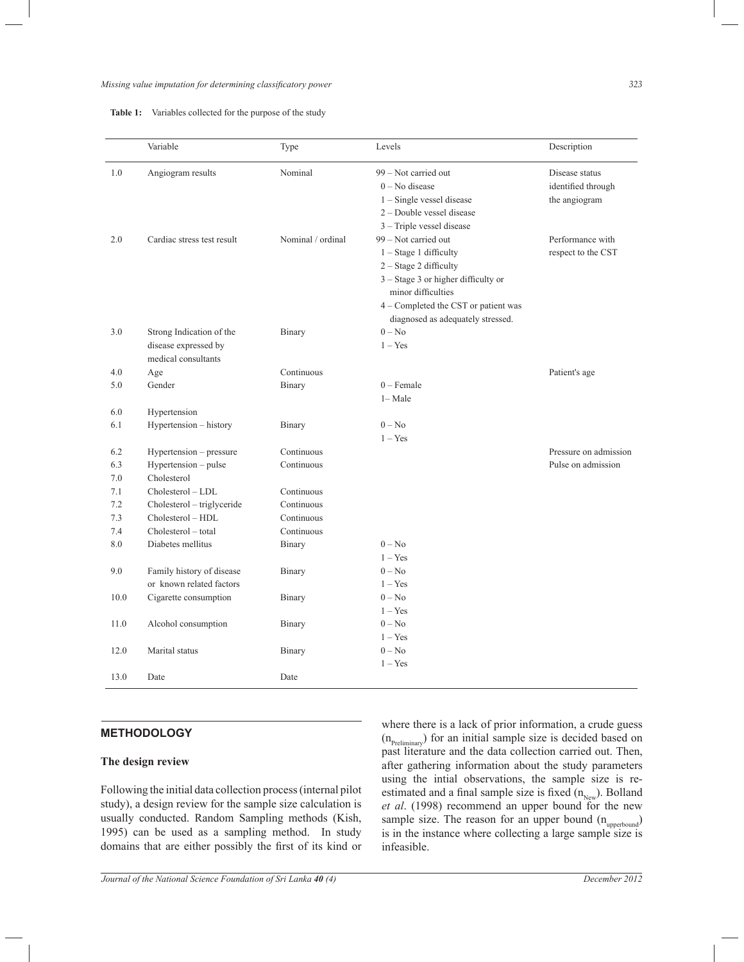## *Missing value imputation for determining classificatory power 323*

|            | Variable                                                                | Type                     | Levels                                                                                                                                                                   | Description                                           |
|------------|-------------------------------------------------------------------------|--------------------------|--------------------------------------------------------------------------------------------------------------------------------------------------------------------------|-------------------------------------------------------|
| 1.0        | Angiogram results                                                       | Nominal                  | 99 – Not carried out<br>$0 - No$ disease<br>$1 -$ Single vessel disease<br>2 - Double vessel disease                                                                     | Disease status<br>identified through<br>the angiogram |
| 2.0        | Cardiac stress test result                                              | Nominal / ordinal        | $3$ – Triple vessel disease<br>99 - Not carried out<br>$1 - Stage 1$ difficulty<br>$2 - Stage 2$ difficulty<br>3 - Stage 3 or higher difficulty or<br>minor difficulties | Performance with<br>respect to the CST                |
| 3.0        | Strong Indication of the<br>disease expressed by<br>medical consultants | Binary                   | 4 – Completed the CST or patient was<br>diagnosed as adequately stressed.<br>$0 - No$<br>$1 - Yes$                                                                       |                                                       |
| 4.0        | Age                                                                     | Continuous               |                                                                                                                                                                          | Patient's age                                         |
| 5.0        | Gender                                                                  | Binary                   | $0$ – Female                                                                                                                                                             |                                                       |
|            |                                                                         |                          | $1 - Male$                                                                                                                                                               |                                                       |
| 6.0        | Hypertension                                                            |                          |                                                                                                                                                                          |                                                       |
| 6.1        | Hypertension - history                                                  | Binary                   | $0 - No$                                                                                                                                                                 |                                                       |
|            |                                                                         |                          | $1 - Yes$                                                                                                                                                                |                                                       |
| 6.2        | Hypertension – pressure                                                 | Continuous               |                                                                                                                                                                          | Pressure on admission                                 |
| 6.3        | Hypertension - pulse                                                    | Continuous               |                                                                                                                                                                          | Pulse on admission                                    |
| 7.0        | Cholesterol                                                             |                          |                                                                                                                                                                          |                                                       |
| 7.1        | Cholesterol - LDL                                                       | Continuous               |                                                                                                                                                                          |                                                       |
| 7.2        | Cholesterol - triglyceride                                              | Continuous               |                                                                                                                                                                          |                                                       |
| 7.3<br>7.4 | Cholesterol - HDL<br>Cholesterol - total                                | Continuous<br>Continuous |                                                                                                                                                                          |                                                       |
| 8.0        | Diabetes mellitus                                                       |                          | $0 - No$                                                                                                                                                                 |                                                       |
|            |                                                                         | Binary                   | $1 - Yes$                                                                                                                                                                |                                                       |
| 9.0        | Family history of disease                                               | Binary                   | $0 - No$                                                                                                                                                                 |                                                       |
|            | or known related factors                                                |                          | $1 - Yes$                                                                                                                                                                |                                                       |
| 10.0       | Cigarette consumption                                                   | Binary                   | $0 - No$                                                                                                                                                                 |                                                       |
|            |                                                                         |                          | $1 - Yes$                                                                                                                                                                |                                                       |
| 11.0       | Alcohol consumption                                                     | Binary                   | $0 - No$                                                                                                                                                                 |                                                       |
|            |                                                                         |                          | $1 - Yes$                                                                                                                                                                |                                                       |
| 12.0       | Marital status                                                          | Binary                   | $0 - No$                                                                                                                                                                 |                                                       |
|            |                                                                         |                          | $1 - Yes$                                                                                                                                                                |                                                       |
| 13.0       | Date                                                                    | Date                     |                                                                                                                                                                          |                                                       |

## **METHODOLOGY**

## **The design review**

Following the initial data collection process (internal pilot study), a design review for the sample size calculation is usually conducted. Random Sampling methods (Kish, 1995) can be used as a sampling method. In study domains that are either possibly the first of its kind or

where there is a lack of prior information, a crude guess  $(n_{\text{Preliminary}})$  for an initial sample size is decided based on past literature and the data collection carried out. Then, after gathering information about the study parameters using the intial observations, the sample size is reestimated and a final sample size is fixed  $(n_{New})$ . Bolland *et al*. (1998) recommend an upper bound for the new sample size. The reason for an upper bound  $(n_{\text{upperbound}})$ is in the instance where collecting a large sample size is infeasible.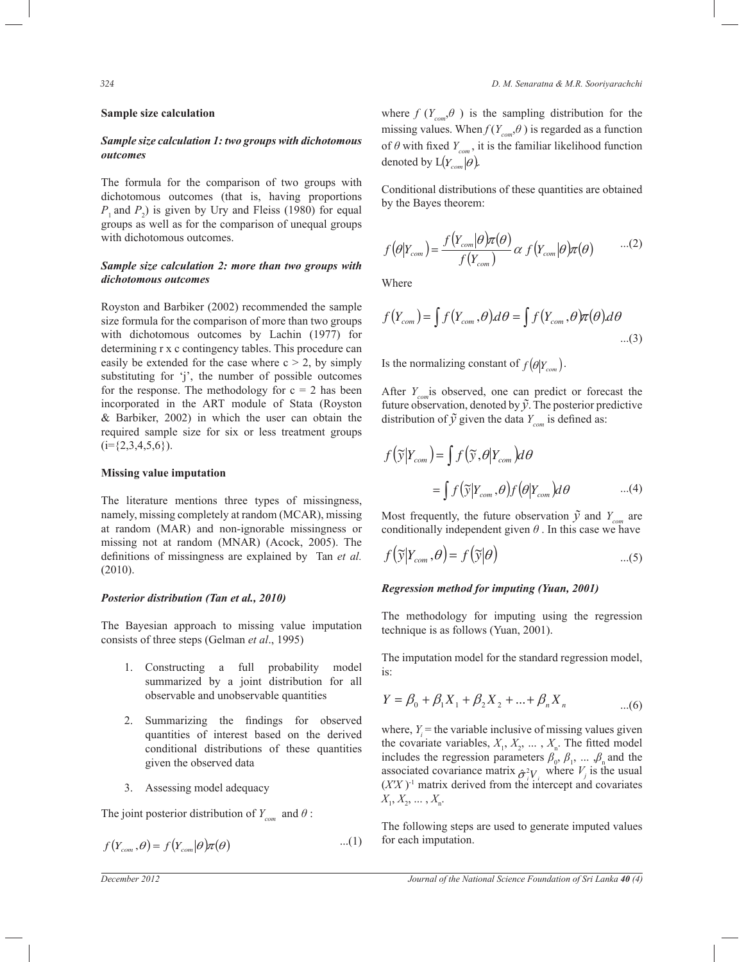#### **Sample size calculation**

## *Sample size calculation 1: two groups with dichotomous outcomes*

The formula for the comparison of two groups with dichotomous outcomes (that is, having proportions  $P_1$  and  $P_2$ ) is given by Ury and Fleiss (1980) for equal groups as well as for the comparison of unequal groups with dichotomous outcomes.

# *Sample size calculation 2: more than two groups with dichotomous outcomes*

Royston and Barbiker (2002) recommended the sample size formula for the comparison of more than two groups with dichotomous outcomes by Lachin (1977) for determining r x c contingency tables. This procedure can easily be extended for the case where  $c > 2$ , by simply substituting for 'j', the number of possible outcomes for the response. The methodology for  $c = 2$  has been incorporated in the ART module of Stata (Royston & Barbiker, 2002) in which the user can obtain the required sample size for six or less treatment groups  $(i=\{2,3,4,5,6\})$ .

#### **Missing value imputation**

The literature mentions three types of missingness, namely, missing completely at random (MCAR), missing at random (MAR) and non-ignorable missingness or missing not at random (MNAR) (Acock, 2005). The definitions of missingness are explained by Tan *et al.* (2010).

## *Posterior distribution (Tan et al., 2010)*

The Bayesian approach to missing value imputation consists of three steps (Gelman *et al*., 1995)

- 1. Constructing a full probability model summarized by a joint distribution for all observable and unobservable quantities
- 2. Summarizing the findings for observed quantities of interest based on the derived conditional distributions of these quantities given the observed data
- 3. Assessing model adequacy

The joint posterior distribution of  $Y_{com}$  and  $\theta$ :

$$
f(Y_{com}, \theta) = f(Y_{com}|\theta)\pi(\theta) \qquad ...(1)
$$

*324 D. M. Senaratna & M.R. Sooriyarachchi*

where  $f(Y_{com}, \theta)$  is the sampling distribution for the missing values. When  $f(Y_{com}, \theta)$  is regarded as a function of  $\theta$  with fixed  $Y_{\text{com}}$ , it is the familiar likelihood function denoted by  $L(Y_{com}|\theta)$ .

by the Bayes theorem: Conditional distributions of these quantities are obtained

$$
f(\theta|Y_{com}) = \frac{f(Y_{com}|\theta)\pi(\theta)}{f(Y_{com})}\alpha f(Y_{com}|\theta)\pi(\theta) \qquad ...(2)
$$

Where

$$
f(Y_{com}) = \int f(Y_{com}, \theta) d\theta = \int f(Y_{com}, \theta) \pi(\theta) d\theta \dots (3)
$$

Is the normalizing constant of  $f(\theta|Y_{com})$ .

distribution of  $\tilde{y}$  given the data  $Y_{com}$  is defined as: After  $Y_{com}$  is observed, one can predict or forecast the future observation, denoted by  $\tilde{y}$ . The posterior predictive distribution of  $\tilde{v}$  given the data Y is defined as:  $com$ 

$$
f(\widetilde{\mathbf{y}}|Y_{com}) = \int f(\widetilde{\mathbf{y}}, \theta|Y_{com}) d\theta
$$
  
= 
$$
\int f(\widetilde{\mathbf{y}}|Y_{com}, \theta) f(\theta|Y_{com}) d\theta
$$
...(4)

Most frequently, the future observation  $\tilde{y}$  and  $Y_{com}$  are conditionally independent given  $\theta$ . In this case we have

$$
f(\widetilde{\mathbf{y}}|Y_{com}, \theta) = f(\widetilde{\mathbf{y}}|\theta) \qquad ...(5)
$$

# **Regression method for imputing (Yuan, 2001)**

The methodology for imputing using the regression technique is as follows (Yuan, 2001).

ˆ ˆ The imputation model for the standard regression model,  $\mathbf{S}$   $\mathbf{\hat{S}}$   $\mathbf{\hat{S}}$   $\mathbf{\hat{S}}$   $\mathbf{\hat{S}}$   $\mathbf{\hat{S}}$   $\mathbf{\hat{S}}$   $\mathbf{\hat{S}}$   $\mathbf{\hat{S}}$   $\mathbf{\hat{S}}$   $\mathbf{\hat{S}}$   $\mathbf{\hat{S}}$   $\mathbf{\hat{S}}$   $\mathbf{\hat{S}}$   $\mathbf{\hat{S}}$   $\mathbf{\hat{S}}$   $\mathbf{\hat{S}}$   $\mathbf{\hat{S}}$   $\mathbf{\hat{S}}$   $\mathbf{\hat{S}}$   $\math$ is:

$$
Y = \beta_0 + \beta_1 X_1 + \beta_2 X_2 + \dots + \beta_n X_n \tag{6}
$$

 $X_1, X_2, \ldots, X_n$ . where,  $Y_i$  = the variable inclusive of missing values given the covariate variables,  $X_1, X_2, \ldots, X_n$ . The fitted model includes the regression parameters  $\beta_0$ ,  $\beta_1$ , ... ,  $\beta_n$  and the associated covariance matrix  $\hat{\sigma}^2$ <sup>*V*</sup>*j* where *V<sub><i>j*</sub> is the usual  $(X'X)$ <sup>1</sup> matrix derived from the intercept and covariates

The following steps are used to generate imputed values for each imputation.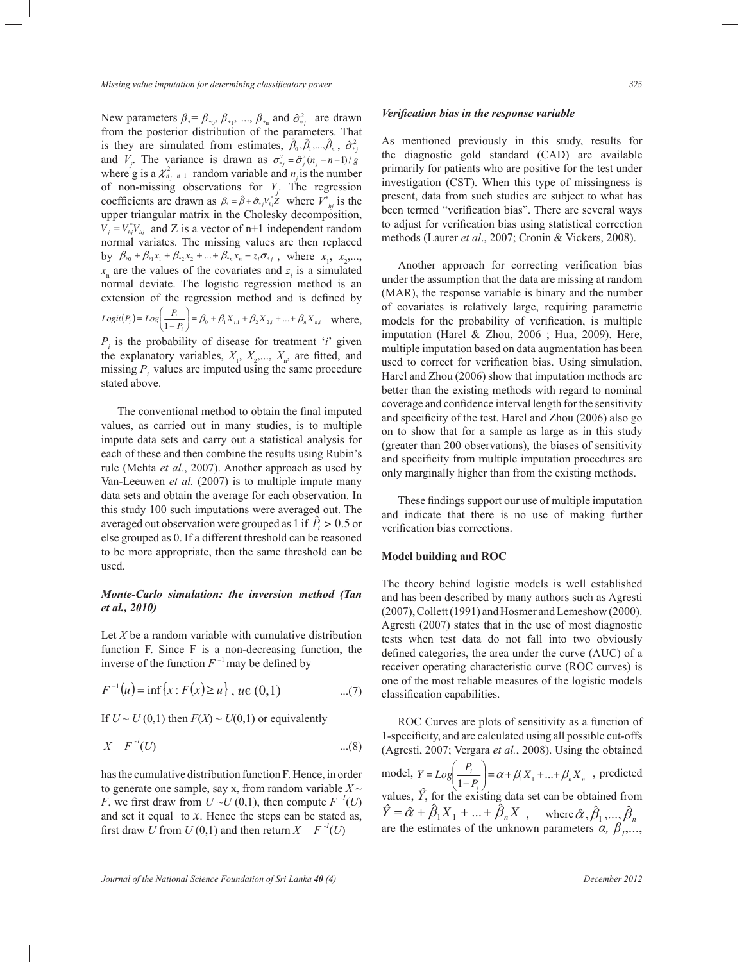New parameters  $\beta_* = \beta_{*0}, \beta_{*1}, \dots, \beta_{*n}$  and  $\hat{\sigma}_{*j}^2$  are drawn is they are simulated from estimates,  $\hat{\beta}_0$ ,  $\hat{\beta}_1$ , ...,  $\hat{\beta}_n$ ,  $\hat{\sigma}_{*j}^2$ of non-missing observations for  $Y_j$ . The regression from the posterior distribution of the parameters. That where g is a  $\chi^2_{n_j-n-1}$  random variable and  $n_j$  is the number solutions are diatrix as  $f_i$ ,  $f_i$ ,  $f_j$ ,  $f_j$ ,  $f_j$ ,  $f_j$ ,  $f_j$ ,  $f_j$ ,  $f_j$ ,  $f_j$ ,  $f_j$ ,  $f_j$ ,  $f_j$ ,  $f_j$ ,  $f_j$ ,  $f_j$ ,  $f_j$ ,  $f_j$ ,  $f_j$ ,  $f_j$ ,  $f_j$ ,  $f_j$ ,  $f_j$ ,  $f_j$ ,  $f_j$ ,  $f_j$ ,  $f_j$ ,  $f_j$ ,  $f_j$ ,  $f_j$ ,  $f_j$ ,  $f_j$ ,  $f_j$ and  $V_j$ . The variance is drawn as  $\sigma_{ij}^2 = \hat{\sigma}_j^2 (n_j - n - 1)/g$ coefficients are drawn as  $\beta_* = \hat{\beta} + \hat{\sigma}_{*j} V_{ij}^* \hat{Z}$  where  $V_{ij}^*$  is the  $V_j = V_{hj}^* V_{hj}$  and Z is a vector of n+1 independent random normal variates. The missing values are then replaced by  $\beta_{*0} + \beta_{*1}x_1 + \beta_{*2}x_2 + ... + \beta_{*n}x_n + z_i \sigma_{*j}$ , where  $x_1, x_2,...,$  $(P_i) = Log\left(\frac{P_i}{1-P_i}\right) = \beta_0 + \beta_1 X_{i,1} + \beta_2 X_{2,i} + ... + \beta_n X_{n,i}$ missing  $P_i$  values are imputed using the same procedure  $x_n$  are the values of the covariates and  $z_i$  is a simulated normal deviate. The logistic regression method is an extension of the regression method and is defined by  $P_i$ ) =  $Log\left(\frac{P_i}{1-P_i}\right)$  =  $\beta_0 + \beta_1 X_{i,1} + \beta_2 X_{2,i} + ... + \beta_n X_{i}$  $Logit(P_i) = Log\left(\frac{P_i}{1-P_i}\right) = \beta_0 + \beta_1 X_{i,1} + \beta_2 X_{2,i} + ... + \beta_n X_n$ - ∖ I l ſ  $= Log\left(\frac{P_i}{1-P_i}\right) = \beta_0 + \beta_1 X_{i,1} + \beta_2 X_{2,i} + ... + \beta_n X_{n,i}$  where, the explanatory variables,  $X_1, X_2, ..., X_n$ , are fitted, and  $P_i$  is the probability of disease for treatment '*i*' given stated above.

The conventional method to obtain the final imputed impute data sets and carry out a statistical analysis for Van-Leeuwen *et al.* (2007) is to multiple impute many this study 100 such imputations were averaged out. The each of these and then combine the results using Rubin's data sets and obtain the average for each observation. In averaged out observation were grouped as 1 if  $\hat{P}_i > 0.5$  or values, as carried out in many studies, is to multiple rule (Mehta *et al.*, 2007). Another approach as used by else grouped as 0. If a different threshold can be reasoned to be more appropriate, then the same threshold can be used.

## *Monte-Carlo simulation: the inversion method (Tan et al., 2010)*

Let  $X$  be a random variable with cumulative distribution function F. Since F is a non-decreasing function, the inverse of the function  $F^{-1}$  may be defined by

$$
F^{-1}(u) = \inf \{ x : F(x) \ge u \}, \ u \in (0,1) \tag{7}
$$

If  $U \sim U(0,1)$  then  $F(X) \sim U(0,1)$  or equivalently

$$
X = F^{-1}(U) \tag{8}
$$

and set it equal to  $x$ . Hence the steps can be stated as, has the cumulative distribution function F. Hence, in order to generate one sample, say x, from random variable  $X \sim$ *F*, we first draw from  $U \sim U(0,1)$ , then compute  $F^{-1}(U)$ first draw *U* from  $U(0,1)$  and then return  $X = F^{-1}(U)$ 

#### *Verification bias in the response variable*

As mentioned previously in this study, results for the diagnostic gold standard (CAD) are available primarily for patients who are positive for the test under investigation (CST). When this type of missingness is present, data from such studies are subject to what has been termed "verification bias". There are several ways to adjust for verification bias using statistical correction methods (Laurer *et al*., 2007; Cronin & Vickers, 2008).

 Another approach for correcting verification bias under the assumption that the data are missing at random (MAR), the response variable is binary and the number of covariates is relatively large, requiring parametric models for the probability of verification, is multiple imputation (Harel & Zhou, 2006 ; Hua, 2009). Here, multiple imputation based on data augmentation has been used to correct for verification bias. Using simulation, Harel and Zhou (2006) show that imputation methods are better than the existing methods with regard to nominal coverage and confidence interval length for the sensitivity and specificity of the test. Harel and Zhou (2006) also go on to show that for a sample as large as in this study (greater than 200 observations), the biases of sensitivity and specificity from multiple imputation procedures are only marginally higher than from the existing methods.

 These findings support our use of multiple imputation and indicate that there is no use of making further verification bias corrections.

#### **Model building and ROC**

 $\overline{\mathcal{L}}$ 

The theory behind logistic models is well established and has been described by many authors such as Agresti (2007), Collett (1991) and Hosmer and Lemeshow (2000). Agresti (2007) states that in the use of most diagnostic tests when test data do not fall into two obviously defined categories, the area under the curve (AUC) of a receiver operating characteristic curve (ROC curves) is one of the most reliable measures of the logistic models classification capabilities.

 ROC Curves are plots of sensitivity as a function of 1-specificity, and are calculated using all possible cut-offs (Agresti, 2007; Vergara *et al.*, 2008). Using the obtained model,  $Y = Log \left( \frac{I_i}{1 - P_i} \right) = \alpha + \beta_1 X_1 + ... + \beta_n X_n$  $\left(\frac{i}{P_i}\right) = \alpha + \beta_1 X_1 + ... + \beta_n X$  $Y = Log\left(\frac{P_i}{1-P}\right) = \alpha + \beta_1 X_1 + ... + \beta_n$ - )  $\parallel$ l ſ  $= Log\left(\frac{I_i}{1-P_i}\right) = \alpha + \beta_1 X_1 + ... + \beta_n X_n$ , predicted  $\hat{Y} = \hat{\alpha} + \hat{\beta}_1 X_1 + ... + \hat{\beta}_n X$ , wh values,  $\hat{Y}$ , for the existing data set can be obtained from where  $\hat{\alpha}, \hat{\beta}_1, ..., \hat{\beta}_n$  $\mathbb{R}^n$  or  $\mathbb{R}^n$ are the estimates of the unknown parameters  $\alpha$ ,  $\beta$ <sub>*p*</sub>...,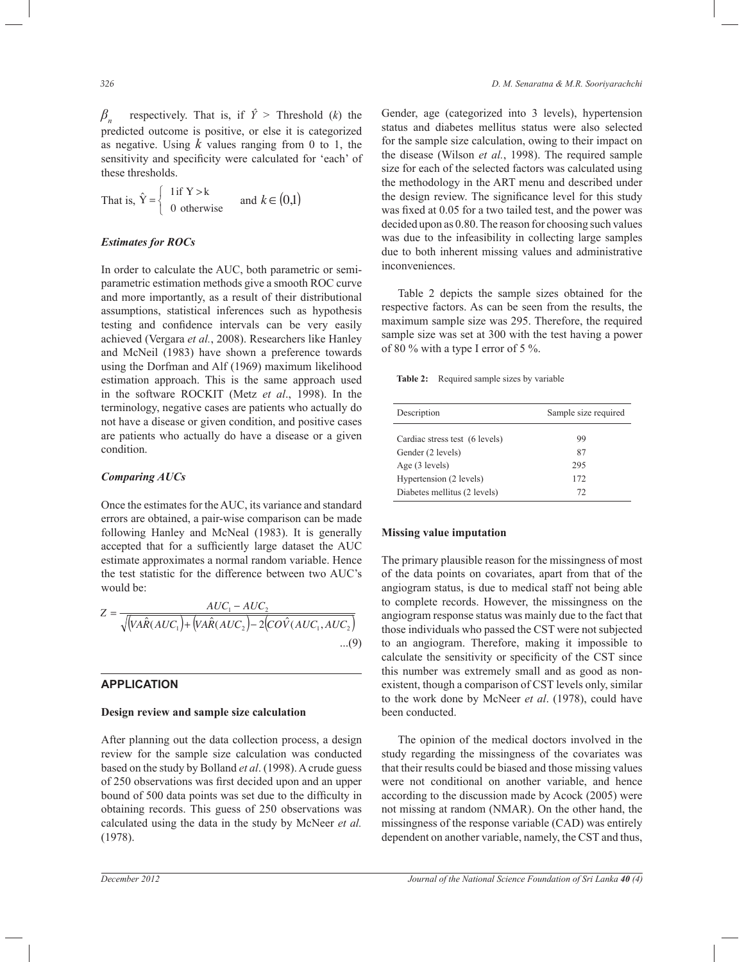*βn* respectively. That is, if  $\hat{Y}$  > Threshold (*k*) the predicted outcome is positive, or else it is categorized as negative. Using *k* values ranging from 0 to 1, the sensitivity and specificity were calculated for 'each' of these thresholds.

That is, 
$$
\hat{Y} = \begin{cases} 1 \text{ if } Y > k \\ 0 \text{ otherwise} \end{cases}
$$
 and  $k \in (0,1)$ 

# Œ( ) *Estimates for ROCs*

In order to calculate the AUC, both parametric or semiparametric estimation methods give a smooth ROC curve and more importantly, as a result of their distributional assumptions, statistical inferences such as hypothesis testing and confidence intervals can be very easily achieved (Vergara *et al.*, 2008). Researchers like Hanley and McNeil (1983) have shown a preference towards using the Dorfman and Alf (1969) maximum likelihood estimation approach. This is the same approach used in the software ROCKIT (Metz *et al*., 1998). In the terminology, negative cases are patients who actually do not have a disease or given condition, and positive cases are patients who actually do have a disease or a given condition.

## *Comparing AUCs*

Once the estimates for the AUC, its variance and standard errors are obtained, a pair-wise comparison can be made following Hanley and McNeal (1983). It is generally accepted that for a sufficiently large dataset the AUC estimate approximates a normal random variable. Hence the test statistic for the difference between two AUC's would be:

$$
Z = \frac{AUC_1 - AUC_2}{\sqrt{\left(VA\hat{R}(AUC_1) + \left(VA\hat{R}(AUC_2) - 2\left(CO\hat{V}(AUC_1, AUC_2\right)\right)\right)} \dots (9)}
$$

## **APPLICATION**

# ( ) **Design review and sample size calculation**

review for the sample size calculation was conducted bound of 500 data points was set due to the difficulty in After planning out the data collection process, a design based on the study by Bolland *et al*. (1998). A crude guess of 250 observations was first decided upon and an upper obtaining records. This guess of 250 observations was calculated using the data in the study by McNeer *et al.* (1978).

Gender, age (categorized into 3 levels), hypertension status and diabetes mellitus status were also selected for the sample size calculation, owing to their impact on the disease (Wilson *et al.*, 1998). The required sample size for each of the selected factors was calculated using the methodology in the ART menu and described under the design review. The significance level for this study was fixed at 0.05 for a two tailed test, and the power was decided upon as 0.80. The reason for choosing such values was due to the infeasibility in collecting large samples due to both inherent missing values and administrative inconveniences.

 Table 2 depicts the sample sizes obtained for the respective factors. As can be seen from the results, the maximum sample size was 295. Therefore, the required sample size was set at 300 with the test having a power of 80 % with a type I error of 5 %.

**Table 2:** Required sample sizes by variable

| Description                    | Sample size required |  |  |
|--------------------------------|----------------------|--|--|
| Cardiac stress test (6 levels) | 99                   |  |  |
| Gender (2 levels)              | 87                   |  |  |
| Age $(3$ levels)               | 295                  |  |  |
| Hypertension (2 levels)        | 172                  |  |  |
| Diabetes mellitus (2 levels)   | 72                   |  |  |

## **Missing value imputation**

The primary plausible reason for the missingness of most of the data points on covariates, apart from that of the angiogram status, is due to medical staff not being able to complete records. However, the missingness on the angiogram response status was mainly due to the fact that those individuals who passed the CST were not subjected to an angiogram. Therefore, making it impossible to calculate the sensitivity or specificity of the CST since this number was extremely small and as good as nonexistent, though a comparison of CST levels only, similar to the work done by McNeer *et al*. (1978), could have been conducted.

 The opinion of the medical doctors involved in the study regarding the missingness of the covariates was that their results could be biased and those missing values were not conditional on another variable, and hence according to the discussion made by Acock (2005) were not missing at random (NMAR). On the other hand, the missingness of the response variable (CAD) was entirely dependent on another variable, namely, the CST and thus,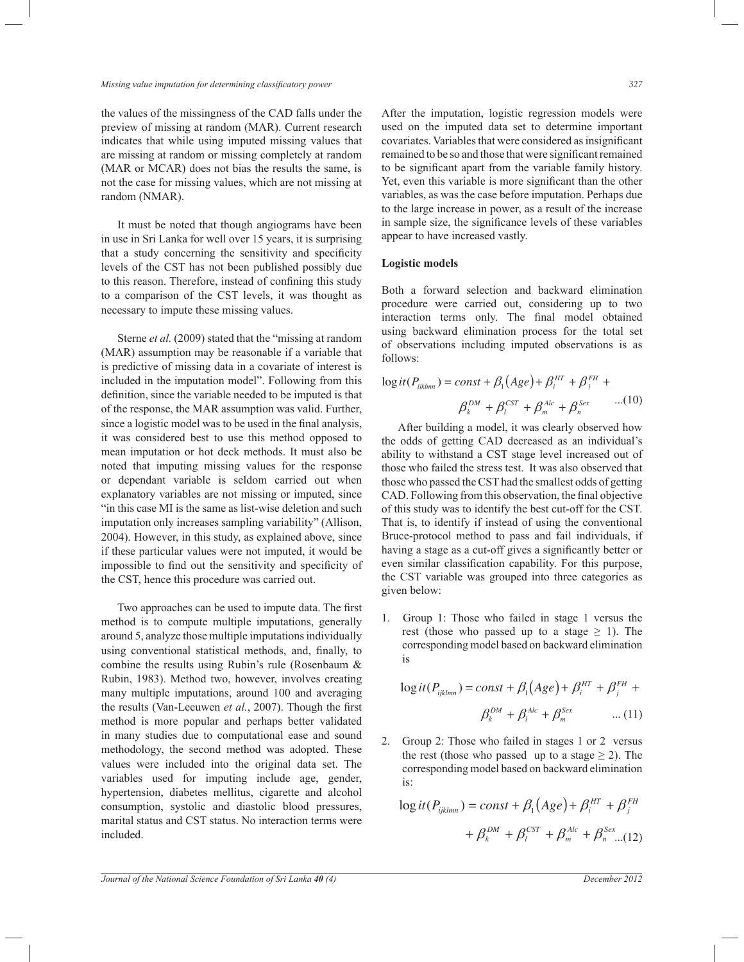the values of the missingness of the CAD falls under the preview of missing at random (MAR). Current research indicates that while using imputed missing values that are missing at random or missing completely at random (MAR or MCAR) does not bias the results the same, is not the case for missing values, which are not missing at random (NMAR).

 It must be noted that though angiograms have been in use in Sri Lanka for well over 15 years, it is surprising that a study concerning the sensitivity and specificity levels of the CST has not been published possibly due to this reason. Therefore, instead of confining this study to a comparison of the CST levels, it was thought as necessary to impute these missing values.

 Sterne *et al.* (2009) stated that the "missing at random (MAR) assumption may be reasonable if a variable that is predictive of missing data in a covariate of interest is included in the imputation model". Following from this definition, since the variable needed to be imputed is that definition, since the variable needed to be imputed is that<br>of the response, the MAR assumption was valid. Further, since a logistic model was to be used in the final analysis, it was considered best to use this method opposed to mean imputation or hot deck methods. It must also be mean imputation of not deck includes. It must also be<br>noted that imputing missing values for the response or dependant variable is seldom carried out when explanatory variables are not missing or imputed, since "in this case MI is the same as list-wise deletion and such In this case MI is the same as list-wise deletion and such<br>imputation only increases sampling variability" (Allison, 2004). However, in this study, as explained above, since if these particular values were not imputed, it would be impossible to find out the sensitivity and specificity of  $\mathcal{L}$ the CST, hence this procedure was carried out.

 Two approaches can be used to impute data. The first method is to compute multiple imputations, generally around 5, analyze those multiple imputations individually using conventional statistical methods, and, finally, to  $\frac{1}{2}$ combine the results using Rubin's rule (Rosenbaum & Rubin, 1983). Method two, however, involves creating many multiple imputations, around 100 and averaging the results (Van-Leeuwen *et al.*, 2007). Though the first method is more popular and perhaps better validated in many studies due to computational ease and sound methodology, the second method was adopted. These values were included into the original data set. The variables used for imputing include age, gender, hypertension, diabetes mellitus, cigarette and alcohol consumption, systolic and diastolic blood pressures, marital status and CST status. No interaction terms were included.

*Journal of the National Science Foundation of Sri Lanka 40 (4)* December 2012

After the imputation, logistic regression models were used on the imputed data set to determine important covariates. Variables that were considered as insignificant remained to be so and those that were significant remained to be significant apart from the variable family history. Yet, even this variable is more significant than the other variables, as was the case before imputation. Perhaps due to the large increase in power, as a result of the increase in sample size, the significance levels of these variables appear to have increased vastly.

## **Logistic models**

Both a forward selection and backward elimination procedure were carried out, considering up to two interaction terms only. The final model obtained using backward elimination process for the total set of observations including imputed observations is as follows:

$$
\log it(P_{iiklmn}) = const + \beta_1(Age) + \beta_i^{HT} + \beta_i^{FH} + \beta_i^{DH} + \beta_k^{DM} + \beta_i^{CF} + \beta_i^{Alc} + \beta_i^{Sex} \qquad ...(10)
$$

After building a model, it was clearly observed how<br>the odds of getting CAD decreased as an individual's those who passed the CST had the smallest odds of getting Bruce-protocol method to pass and fail individuals, if the odds of getting CAD decreased as an individual's ability to withstand a CST stage level increased out of those who failed the stress test. It was also observed that CAD. Following from this observation, the final objective of this study was to identify the best cut-off for the CST. That is, to identify if instead of using the conventional having a stage as a cut-off gives a significantly better or even similar classification capability. For this purpose, the CST variable was grouped into three categories as given below:

1. Group 1: Those who failed in stage 1 versus the rest (those who passed up to a stage  $\geq$  1). The corresponding model based on backward elimination is

$$
\log it(P_{ijklmn}) = const + \beta_1(Age) + \beta_i^{HT} + \beta_j^{FH} +
$$

$$
\beta_k^{DM} + \beta_i^{Alc} + \beta_m^{Sex} \qquad ... (11)
$$

( ) 2. Group 2: Those who failed in stages 1 or 2 versus corresponding model based on backward elimination the rest (those who passed up to a stage  $\geq$  2). The is:

$$
\log it(P_{ijklmn}) = const + \beta_1(Age) + \beta_i^{HT} + \beta_j^{FH}
$$

$$
+ \beta_k^{DM} + \beta_i^{CST} + \beta_m^{Alc} + \beta_n^{Sex} ... (12)
$$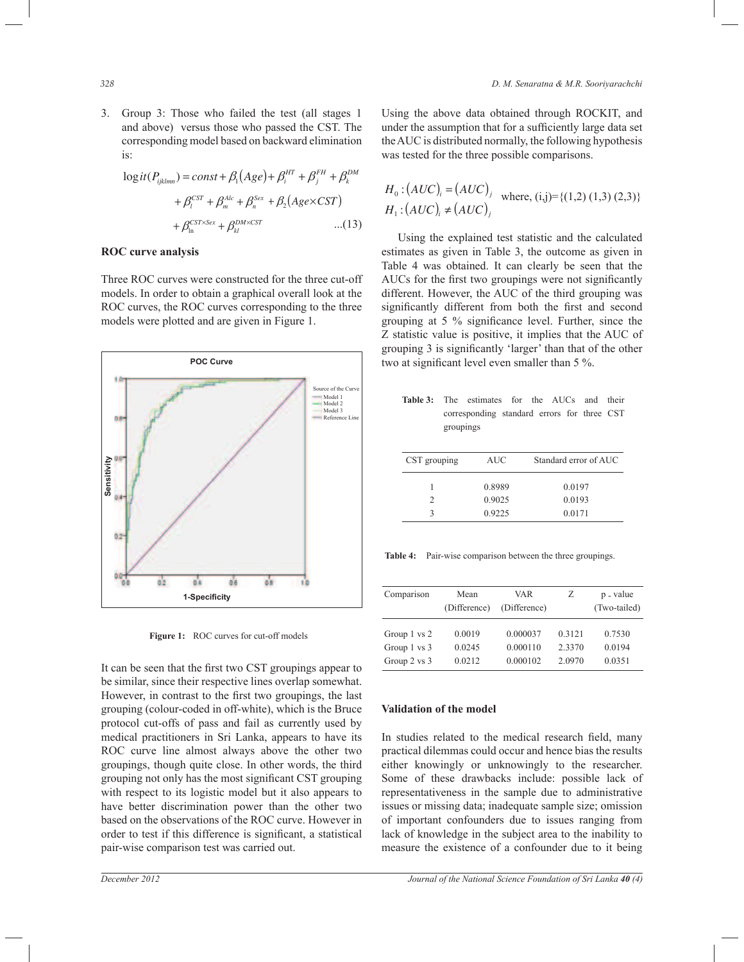3. Group 3: Those who failed the test (all stages 1 and above) versus those who passed the CST. The corresponding model based on backward elimination is:

$$
\log it(P_{ijklmn}) = const + \beta_1 (Age) + \beta_i^{HT} + \beta_j^{FH} + \beta_k^{DM}
$$
  
+  $\beta_i^{CST} + \beta_m^{Alc} + \beta_n^{Sex} + \beta_2 (Age \times CST)$   
+  $\beta_{\ln}^{CST \times Sex} + \beta_k^{DM \times CST}$ ...(13)

# ( ) ( ) = **ROC curve analysis**

Three ROC curves were constructed for the three cut-off models. In order to obtain a graphical overall look at the ROC curves, the ROC curves corresponding to the three models were plotted and are given in Figure 1.



Figure 1: ROC curves for cut-off models

It can be seen that the first two CST groupings appear to be similar, since their respective lines overlap somewhat. However, in contrast to the first two groupings, the last grouping (colour-coded in off-white), which is the Bruce protocol cut-offs of pass and fail as currently used by medical practitioners in Sri Lanka, appears to have its ROC curve line almost always above the other two groupings, though quite close. In other words, the third grouping not only has the most significant CST grouping with respect to its logistic model but it also appears to have better discrimination power than the other two based on the observations of the ROC curve. However in order to test if this difference is significant, a statistical pair-wise comparison test was carried out.

Using the above data obtained through ROCKIT, and under the assumption that for a sufficiently large data set the AUC is distributed normally, the following hypothesis was tested for the three possible comparisons.

$$
H_0: (AUC)_i = (AUC)_j
$$
 where, (i,j)={(1,2) (1,3) (2,3)}  
H\_1: (AUC)\_i \neq (AUC)\_j

 Using the explained test statistic and the calculated estimates as given in Table 3, the outcome as given in Table 4 was obtained. It can clearly be seen that the AUCs for the first two groupings were not significantly different. However, the AUC of the third grouping was significantly different from both the first and second grouping at 5 % significance level. Further, since the Z statistic value is positive, it implies that the AUC of grouping 3 is significantly 'larger' than that of the other two at significant level even smaller than 5 %.

| <b>Table 3:</b> The estimates for the AUCs and their |           |                                             |  |  |  |
|------------------------------------------------------|-----------|---------------------------------------------|--|--|--|
|                                                      |           | corresponding standard errors for three CST |  |  |  |
|                                                      | groupings |                                             |  |  |  |

| CST grouping | <b>AUC</b> | Standard error of AUC |
|--------------|------------|-----------------------|
|              | 0.8989     | 0.0197                |
|              | 0.9025     | 0.0193                |
|              | 0.9225     | 0.0171                |

**Table 4:** Pair-wise comparison between the three groupings.

| Comparison   | Mean<br>(Difference) | VAR<br>(Difference) | Ζ      | p - value<br>(Two-tailed) |
|--------------|----------------------|---------------------|--------|---------------------------|
| Group 1 vs 2 | 0.0019               | 0.000037            | 0.3121 | 0.7530                    |
| Group 1 vs 3 | 0.0245               | 0.000110            | 2.3370 | 0.0194                    |
| Group 2 vs 3 | 0.0212               | 0.000102            | 2.0970 | 0.0351                    |

## **Validation of the model**

In studies related to the medical research field, many practical dilemmas could occur and hence bias the results either knowingly or unknowingly to the researcher. Some of these drawbacks include: possible lack of representativeness in the sample due to administrative issues or missing data; inadequate sample size; omission of important confounders due to issues ranging from lack of knowledge in the subject area to the inability to measure the existence of a confounder due to it being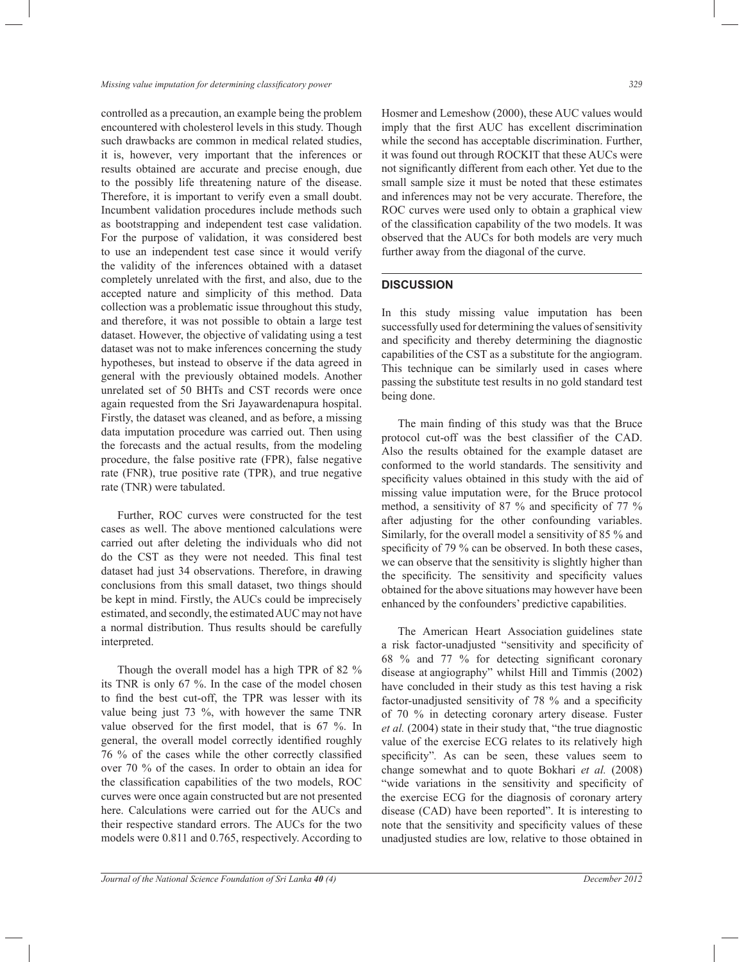controlled as a precaution, an example being the problem encountered with cholesterol levels in this study. Though such drawbacks are common in medical related studies, it is, however, very important that the inferences or results obtained are accurate and precise enough, due to the possibly life threatening nature of the disease. Therefore, it is important to verify even a small doubt. Incumbent validation procedures include methods such as bootstrapping and independent test case validation. For the purpose of validation, it was considered best to use an independent test case since it would verify the validity of the inferences obtained with a dataset completely unrelated with the first, and also, due to the accepted nature and simplicity of this method. Data collection was a problematic issue throughout this study, and therefore, it was not possible to obtain a large test dataset. However, the objective of validating using a test dataset was not to make inferences concerning the study hypotheses, but instead to observe if the data agreed in general with the previously obtained models. Another unrelated set of 50 BHTs and CST records were once again requested from the Sri Jayawardenapura hospital. Firstly, the dataset was cleaned, and as before, a missing data imputation procedure was carried out. Then using the forecasts and the actual results, from the modeling procedure, the false positive rate (FPR), false negative rate (FNR), true positive rate (TPR), and true negative rate (TNR) were tabulated.

 Further, ROC curves were constructed for the test cases as well. The above mentioned calculations were carried out after deleting the individuals who did not do the CST as they were not needed. This final test dataset had just 34 observations. Therefore, in drawing conclusions from this small dataset, two things should be kept in mind. Firstly, the AUCs could be imprecisely estimated, and secondly, the estimated AUC may not have a normal distribution. Thus results should be carefully interpreted.

 Though the overall model has a high TPR of 82 % its TNR is only 67 %. In the case of the model chosen to find the best cut-off, the TPR was lesser with its value being just 73 %, with however the same TNR value observed for the first model, that is 67 %. In general, the overall model correctly identified roughly 76 % of the cases while the other correctly classified over 70 % of the cases. In order to obtain an idea for the classification capabilities of the two models, ROC curves were once again constructed but are not presented here. Calculations were carried out for the AUCs and their respective standard errors. The AUCs for the two models were 0.811 and 0.765, respectively. According to

Hosmer and Lemeshow (2000), these AUC values would imply that the first AUC has excellent discrimination while the second has acceptable discrimination. Further, it was found out through ROCKIT that these AUCs were not significantly different from each other. Yet due to the small sample size it must be noted that these estimates and inferences may not be very accurate. Therefore, the ROC curves were used only to obtain a graphical view of the classification capability of the two models. It was observed that the AUCs for both models are very much further away from the diagonal of the curve.

## **DISCUSSION**

In this study missing value imputation has been successfully used for determining the values of sensitivity and specificity and thereby determining the diagnostic capabilities of the CST as a substitute for the angiogram. This technique can be similarly used in cases where passing the substitute test results in no gold standard test being done.

 The main finding of this study was that the Bruce protocol cut-off was the best classifier of the CAD. Also the results obtained for the example dataset are conformed to the world standards. The sensitivity and specificity values obtained in this study with the aid of missing value imputation were, for the Bruce protocol method, a sensitivity of 87 % and specificity of 77 % after adjusting for the other confounding variables. Similarly, for the overall model a sensitivity of 85 % and specificity of 79 % can be observed. In both these cases, we can observe that the sensitivity is slightly higher than the specificity. The sensitivity and specificity values obtained for the above situations may however have been enhanced by the confounders' predictive capabilities.

 The American Heart Association guidelines state a risk factor-unadjusted "sensitivity and specificity of 68 % and 77 % for detecting significant coronary disease at angiography" whilst Hill and Timmis (2002) have concluded in their study as this test having a risk factor-unadjusted sensitivity of 78 % and a specificity of 70 % in detecting coronary artery disease. Fuster *et al.* (2004) state in their study that, "the true diagnostic value of the exercise ECG relates to its relatively high specificity"*.* As can be seen, these values seem to change somewhat and to quote Bokhari *et al.* (2008) "wide variations in the sensitivity and specificity of the exercise ECG for the diagnosis of coronary artery disease (CAD) have been reported". It is interesting to note that the sensitivity and specificity values of these unadjusted studies are low, relative to those obtained in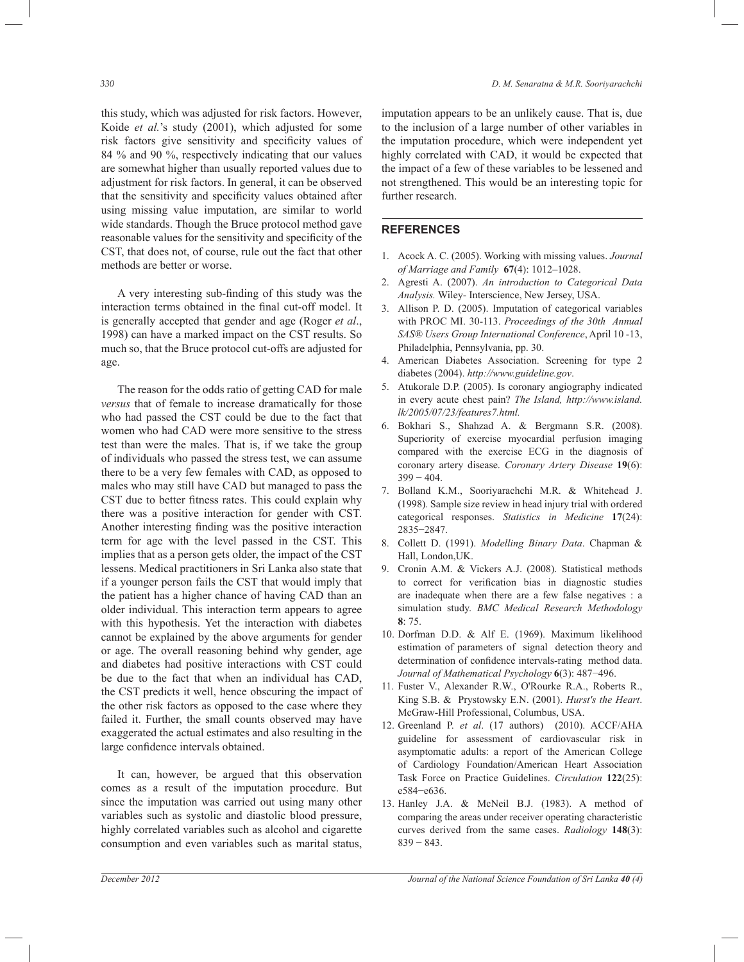this study, which was adjusted for risk factors. However, Koide *et al.*'s study (2001), which adjusted for some risk factors give sensitivity and specificity values of 84 % and 90 %, respectively indicating that our values are somewhat higher than usually reported values due to adjustment for risk factors. In general, it can be observed that the sensitivity and specificity values obtained after using missing value imputation, are similar to world wide standards. Though the Bruce protocol method gave reasonable values for the sensitivity and specificity of the CST, that does not, of course, rule out the fact that other methods are better or worse.

 A very interesting sub-finding of this study was the interaction terms obtained in the final cut-off model. It is generally accepted that gender and age (Roger *et al*., 1998) can have a marked impact on the CST results. So much so, that the Bruce protocol cut-offs are adjusted for age.

 The reason for the odds ratio of getting CAD for male *versus* that of female to increase dramatically for those who had passed the CST could be due to the fact that women who had CAD were more sensitive to the stress test than were the males. That is, if we take the group of individuals who passed the stress test, we can assume there to be a very few females with CAD, as opposed to males who may still have CAD but managed to pass the CST due to better fitness rates. This could explain why there was a positive interaction for gender with CST. Another interesting finding was the positive interaction term for age with the level passed in the CST. This implies that as a person gets older, the impact of the CST lessens. Medical practitioners in Sri Lanka also state that if a younger person fails the CST that would imply that the patient has a higher chance of having CAD than an older individual. This interaction term appears to agree with this hypothesis. Yet the interaction with diabetes cannot be explained by the above arguments for gender or age. The overall reasoning behind why gender, age and diabetes had positive interactions with CST could be due to the fact that when an individual has CAD, the CST predicts it well, hence obscuring the impact of the other risk factors as opposed to the case where they failed it. Further, the small counts observed may have exaggerated the actual estimates and also resulting in the large confidence intervals obtained.

 It can, however, be argued that this observation comes as a result of the imputation procedure. But since the imputation was carried out using many other variables such as systolic and diastolic blood pressure, highly correlated variables such as alcohol and cigarette consumption and even variables such as marital status,

imputation appears to be an unlikely cause. That is, due to the inclusion of a large number of other variables in the imputation procedure, which were independent yet highly correlated with CAD, it would be expected that the impact of a few of these variables to be lessened and not strengthened. This would be an interesting topic for further research.

# **REFERENCES**

- 1. Acock A. C. (2005). Working with missing values. *Journal of Marriage and Family* **67**(4): 1012–1028.
- 2. Agresti A. (2007). *An introduction to Categorical Data Analysis.* Wiley- Interscience, New Jersey, USA.
- 3. Allison P. D. (2005). Imputation of categorical variables with PROC MI. 30-113. *Proceedings of the 30th Annual SAS® Users Group International Conference*, April 10 -13, Philadelphia, Pennsylvania, pp. 30.
- 4. American Diabetes Association. Screening for type 2 diabetes (2004). *http://www.guideline.gov*.
- 5. Atukorale D.P. (2005). Is coronary angiography indicated in every acute chest pain? *The Island, http://www.island. lk/2005/07/23/features7.html.*
- 6. Bokhari S., Shahzad A. & Bergmann S.R. (2008). Superiority of exercise myocardial perfusion imaging compared with the exercise ECG in the diagnosis of coronary artery disease. *Coronary Artery Disease* **19**(6):  $399 - 404$ .
- 7. Bolland K.M., Sooriyarachchi M.R. & Whitehead J. (1998). Sample size review in head injury trial with ordered categorical responses. *Statistics in Medicine* **17**(24): 2835−2847.
- 8. Collett D. (1991). *Modelling Binary Data*. Chapman & Hall, London,UK.
- 9. Cronin A.M. & Vickers A.J. (2008). Statistical methods to correct for verification bias in diagnostic studies are inadequate when there are a few false negatives : a simulation study. *BMC Medical Research Methodology* **8**: 75.
- 10. Dorfman D.D. & Alf E. (1969). Maximum likelihood estimation of parameters of signal detection theory and determination of confidence intervals-rating method data. *Journal of Mathematical Psychology* **6**(3): 487−496.
- 11. Fuster V., Alexander R.W., O'Rourke R.A., Roberts R., King S.B. & Prystowsky E.N. (2001). *Hurst's the Heart*. McGraw-Hill Professional, Columbus, USA.
- 12. Greenland P. *et al*. (17 authors) (2010). ACCF/AHA guideline for assessment of cardiovascular risk in asymptomatic adults: a report of the American College of Cardiology Foundation/American Heart Association Task Force on Practice Guidelines. *Circulation* **122**(25): e584−e636.
- 13. Hanley J.A. & McNeil B.J. (1983). A method of comparing the areas under receiver operating characteristic curves derived from the same cases. *Radiology* **148**(3): 839 − 843.